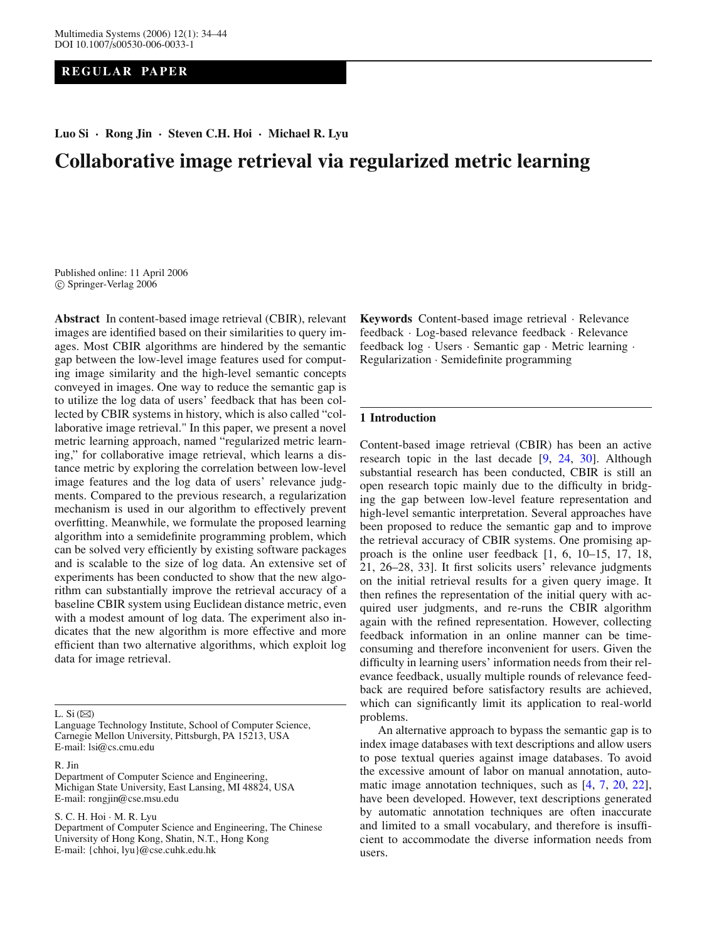# **REGULAR PAPER**

**Luo Si · Rong Jin · Steven C.H. Hoi · Michael R. Lyu**

# **Collaborative image retrieval via regularized metric learning**

Published online: 11 April 2006 c Springer-Verlag 2006

**Abstract** In content-based image retrieval (CBIR), relevant images are identified based on their similarities to query images. Most CBIR algorithms are hindered by the semantic gap between the low-level image features used for computing image similarity and the high-level semantic concepts conveyed in images. One way to reduce the semantic gap is to utilize the log data of users' feedback that has been collected by CBIR systems in history, which is also called "collaborative image retrieval." In this paper, we present a novel metric learning approach, named "regularized metric learning," for collaborative image retrieval, which learns a distance metric by exploring the correlation between low-level image features and the log data of users' relevance judgments. Compared to the previous research, a regularization mechanism is used in our algorithm to effectively prevent overfitting. Meanwhile, we formulate the proposed learning algorithm into a semidefinite programming problem, which can be solved very efficiently by existing software packages and is scalable to the size of log data. An extensive set of experiments has been conducted to show that the new algorithm can substantially improve the retrieval accuracy of a baseline CBIR system using Euclidean distance metric, even with a modest amount of log data. The experiment also indicates that the new algorithm is more effective and more efficient than two alternative algorithms, which exploit log data for image retrieval.

L. Si  $(\boxtimes)$ 

R. Jin

Department of Computer Science and Engineering, Michigan State University, East Lansing, MI 48824, USA E-mail: rongjin@cse.msu.edu

S. C. H. Hoi · M. R. Lyu

Department of Computer Science and Engineering, The Chinese University of Hong Kong, Shatin, N.T., Hong Kong E-mail: {chhoi, lyu}@cse.cuhk.edu.hk

**Keywords** Content-based image retrieval · Relevance feedback · Log-based relevance feedback · Relevance feedback log · Users · Semantic gap · Metric learning · Regularization · Semidefinite programming

# **1 Introduction**

Content-based image retrieval (CBIR) has been an active research topic in the last decade [\[9,](#page-10-0) [24,](#page-10-1) [30](#page-10-2)]. Although substantial research has been conducted, CBIR is still an open research topic mainly due to the difficulty in bridging the gap between low-level feature representation and high-level semantic interpretation. Several approaches have been proposed to reduce the semantic gap and to improve the retrieval accuracy of CBIR systems. One promising approach is the online user feedback [1, 6, 10–15, 17, 18, 21, 26–28, 33]. It first solicits users' relevance judgments on the initial retrieval results for a given query image. It then refines the representation of the initial query with acquired user judgments, and re-runs the CBIR algorithm again with the refined representation. However, collecting feedback information in an online manner can be timeconsuming and therefore inconvenient for users. Given the difficulty in learning users' information needs from their relevance feedback, usually multiple rounds of relevance feedback are required before satisfactory results are achieved, which can significantly limit its application to real-world problems.

An alternative approach to bypass the semantic gap is to index image databases with text descriptions and allow users to pose textual queries against image databases. To avoid the excessive amount of labor on manual annotation, automatic image annotation techniques, such as [\[4,](#page-10-3) [7](#page-10-4), [20](#page-10-5), [22\]](#page-10-6), have been developed. However, text descriptions generated by automatic annotation techniques are often inaccurate and limited to a small vocabulary, and therefore is insufficient to accommodate the diverse information needs from users.

Language Technology Institute, School of Computer Science, Carnegie Mellon University, Pittsburgh, PA 15213, USA E-mail: lsi@cs.cmu.edu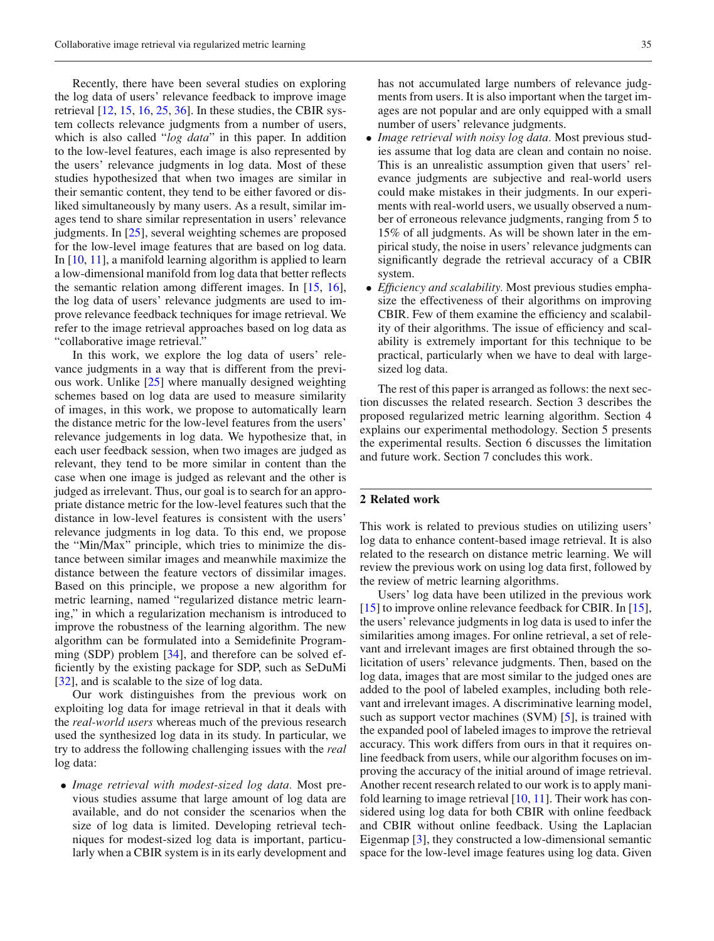Recently, there have been several studies on exploring the log data of users' relevance feedback to improve image retrieval [\[12,](#page-10-7) [15](#page-10-8), [16](#page-10-9), [25](#page-10-10), [36\]](#page-10-11). In these studies, the CBIR system collects relevance judgments from a number of users, which is also called "*log data*" in this paper. In addition to the low-level features, each image is also represented by the users' relevance judgments in log data. Most of these studies hypothesized that when two images are similar in their semantic content, they tend to be either favored or disliked simultaneously by many users. As a result, similar images tend to share similar representation in users' relevance judgments. In [\[25](#page-10-10)], several weighting schemes are proposed for the low-level image features that are based on log data. In [\[10,](#page-10-12) [11](#page-10-13)], a manifold learning algorithm is applied to learn a low-dimensional manifold from log data that better reflects the semantic relation among different images. In [\[15,](#page-10-8) [16](#page-10-9)], the log data of users' relevance judgments are used to improve relevance feedback techniques for image retrieval. We refer to the image retrieval approaches based on log data as "collaborative image retrieval."

In this work, we explore the log data of users' relevance judgments in a way that is different from the previous work. Unlike [\[25\]](#page-10-10) where manually designed weighting schemes based on log data are used to measure similarity of images, in this work, we propose to automatically learn the distance metric for the low-level features from the users' relevance judgements in log data. We hypothesize that, in each user feedback session, when two images are judged as relevant, they tend to be more similar in content than the case when one image is judged as relevant and the other is judged as irrelevant. Thus, our goal is to search for an appropriate distance metric for the low-level features such that the distance in low-level features is consistent with the users' relevance judgments in log data. To this end, we propose the "Min/Max" principle, which tries to minimize the distance between similar images and meanwhile maximize the distance between the feature vectors of dissimilar images. Based on this principle, we propose a new algorithm for metric learning, named "regularized distance metric learning," in which a regularization mechanism is introduced to improve the robustness of the learning algorithm. The new algorithm can be formulated into a Semidefinite Program-ming (SDP) problem [\[34\]](#page-10-14), and therefore can be solved efficiently by the existing package for SDP, such as SeDuMi [\[32](#page-10-15)], and is scalable to the size of log data.

Our work distinguishes from the previous work on exploiting log data for image retrieval in that it deals with the *real-world users* whereas much of the previous research used the synthesized log data in its study. In particular, we try to address the following challenging issues with the *real* log data:

• *Image retrieval with modest-sized log data.* Most previous studies assume that large amount of log data are available, and do not consider the scenarios when the size of log data is limited. Developing retrieval techniques for modest-sized log data is important, particularly when a CBIR system is in its early development and has not accumulated large numbers of relevance judgments from users. It is also important when the target images are not popular and are only equipped with a small number of users' relevance judgments.

- *Image retrieval with noisy log data.* Most previous studies assume that log data are clean and contain no noise. This is an unrealistic assumption given that users' relevance judgments are subjective and real-world users could make mistakes in their judgments. In our experiments with real-world users, we usually observed a number of erroneous relevance judgments, ranging from 5 to 15% of all judgments. As will be shown later in the empirical study, the noise in users' relevance judgments can significantly degrade the retrieval accuracy of a CBIR system.
- *Efficiency and scalability.* Most previous studies emphasize the effectiveness of their algorithms on improving CBIR. Few of them examine the efficiency and scalability of their algorithms. The issue of efficiency and scalability is extremely important for this technique to be practical, particularly when we have to deal with largesized log data.

The rest of this paper is arranged as follows: the next section discusses the related research. Section 3 describes the proposed regularized metric learning algorithm. Section 4 explains our experimental methodology. Section 5 presents the experimental results. Section 6 discusses the limitation and future work. Section 7 concludes this work.

# <span id="page-1-0"></span>**2 Related work**

This work is related to previous studies on utilizing users' log data to enhance content-based image retrieval. It is also related to the research on distance metric learning. We will review the previous work on using log data first, followed by the review of metric learning algorithms.

Users' log data have been utilized in the previous work [\[15\]](#page-10-8) to improve online relevance feedback for CBIR. In [\[15\]](#page-10-8), the users' relevance judgments in log data is used to infer the similarities among images. For online retrieval, a set of relevant and irrelevant images are first obtained through the solicitation of users' relevance judgments. Then, based on the log data, images that are most similar to the judged ones are added to the pool of labeled examples, including both relevant and irrelevant images. A discriminative learning model, such as support vector machines (SVM) [\[5](#page-10-16)], is trained with the expanded pool of labeled images to improve the retrieval accuracy. This work differs from ours in that it requires online feedback from users, while our algorithm focuses on improving the accuracy of the initial around of image retrieval. Another recent research related to our work is to apply manifold learning to image retrieval  $[10, 11]$  $[10, 11]$  $[10, 11]$ . Their work has considered using log data for both CBIR with online feedback and CBIR without online feedback. Using the Laplacian Eigenmap [\[3](#page-10-17)], they constructed a low-dimensional semantic space for the low-level image features using log data. Given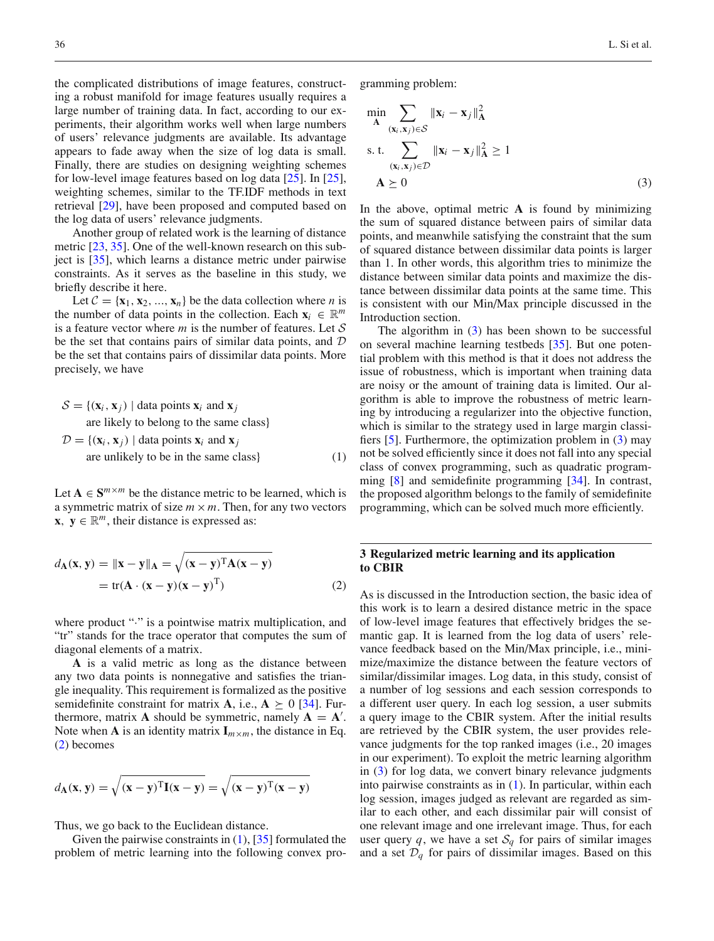the complicated distributions of image features, constructing a robust manifold for image features usually requires a large number of training data. In fact, according to our experiments, their algorithm works well when large numbers of users' relevance judgments are available. Its advantage appears to fade away when the size of log data is small. Finally, there are studies on designing weighting schemes for low-level image features based on log data [\[25\]](#page-10-10). In [\[25](#page-10-10)], weighting schemes, similar to the TF.IDF methods in text retrieval [\[29\]](#page-10-18), have been proposed and computed based on the log data of users' relevance judgments.

Another group of related work is the learning of distance metric [\[23](#page-10-19), [35](#page-10-20)]. One of the well-known research on this subject is [\[35\]](#page-10-20), which learns a distance metric under pairwise constraints. As it serves as the baseline in this study, we briefly describe it here.

Let  $C = {\mathbf{x}_1, \mathbf{x}_2, ..., \mathbf{x}_n}$  be the data collection where *n* is the number of data points in the collection. Each  $\mathbf{x}_i \in \mathbb{R}^m$ is a feature vector where  $m$  is the number of features. Let  $S$ be the set that contains pairs of similar data points, and D be the set that contains pairs of dissimilar data points. More precisely, we have

$$
S = \{(\mathbf{x}_i, \mathbf{x}_j) \mid \text{data points } \mathbf{x}_i \text{ and } \mathbf{x}_j \text{ are likely to belong to the same class} \}
$$
  

$$
\mathcal{D} = \{(\mathbf{x}_i, \mathbf{x}_j) \mid \text{data points } \mathbf{x}_i \text{ and } \mathbf{x}_j \text{ are unlikely to be in the same class} \}
$$
 (1)

Let  $A \in S^{m \times m}$  be the distance metric to be learned, which is a symmetric matrix of size  $m \times m$ . Then, for any two vectors **x**, **y** ∈  $\mathbb{R}^m$ , their distance is expressed as:

$$
d_{\mathbf{A}}(\mathbf{x}, \mathbf{y}) = \|\mathbf{x} - \mathbf{y}\|_{\mathbf{A}} = \sqrt{(\mathbf{x} - \mathbf{y})^{\mathrm{T}} \mathbf{A} (\mathbf{x} - \mathbf{y})}
$$

$$
= \text{tr}(\mathbf{A} \cdot (\mathbf{x} - \mathbf{y})(\mathbf{x} - \mathbf{y})^{\mathrm{T}})
$$
(2)

where product "·" is a pointwise matrix multiplication, and "tr" stands for the trace operator that computes the sum of diagonal elements of a matrix.

**A** is a valid metric as long as the distance between any two data points is nonnegative and satisfies the triangle inequality. This requirement is formalized as the positive semidefinite constraint for matrix **A**, i.e.,  $A \geq 0$  [\[34\]](#page-10-14). Furthermore, matrix **A** should be symmetric, namely  $\mathbf{A} = \mathbf{A}'$ . Note when **A** is an identity matrix  $\mathbf{I}_{m \times m}$ , the distance in Eq. [\(2\)](#page-1-0) becomes

$$
d_{\mathbf{A}}(\mathbf{x}, \mathbf{y}) = \sqrt{(\mathbf{x} - \mathbf{y})^{\mathrm{T}} \mathbf{I}(\mathbf{x} - \mathbf{y})} = \sqrt{(\mathbf{x} - \mathbf{y})^{\mathrm{T}}(\mathbf{x} - \mathbf{y})}
$$

Thus, we go back to the Euclidean distance.

Given the pairwise constraints in  $(1)$ ,  $[35]$  $[35]$  formulated the problem of metric learning into the following convex programming problem:

$$
\min_{\mathbf{A}} \sum_{(\mathbf{x}_i, \mathbf{x}_j) \in \mathcal{S}} ||\mathbf{x}_i - \mathbf{x}_j||_{\mathbf{A}}^2
$$
  
s. t. 
$$
\sum_{(\mathbf{x}_i, \mathbf{x}_j) \in \mathcal{D}} ||\mathbf{x}_i - \mathbf{x}_j||_{\mathbf{A}}^2 \ge 1
$$
  

$$
\mathbf{A} \ge 0
$$
 (3)

In the above, optimal metric **A** is found by minimizing the sum of squared distance between pairs of similar data points, and meanwhile satisfying the constraint that the sum of squared distance between dissimilar data points is larger than 1. In other words, this algorithm tries to minimize the distance between similar data points and maximize the distance between dissimilar data points at the same time. This is consistent with our Min/Max principle discussed in the Introduction section.

The algorithm in  $(3)$  has been shown to be successful on several machine learning testbeds [\[35](#page-10-20)]. But one potential problem with this method is that it does not address the issue of robustness, which is important when training data are noisy or the amount of training data is limited. Our algorithm is able to improve the robustness of metric learning by introducing a regularizer into the objective function, which is similar to the strategy used in large margin classifiers  $[5]$  $[5]$ . Furthermore, the optimization problem in  $(3)$  may not be solved efficiently since it does not fall into any special class of convex programming, such as quadratic programming [\[8\]](#page-10-21) and semidefinite programming [\[34\]](#page-10-14). In contrast, the proposed algorithm belongs to the family of semidefinite programming, which can be solved much more efficiently.

## <span id="page-2-0"></span>**3 Regularized metric learning and its application to CBIR**

As is discussed in the Introduction section, the basic idea of this work is to learn a desired distance metric in the space of low-level image features that effectively bridges the semantic gap. It is learned from the log data of users' relevance feedback based on the Min/Max principle, i.e., minimize/maximize the distance between the feature vectors of similar/dissimilar images. Log data, in this study, consist of a number of log sessions and each session corresponds to a different user query. In each log session, a user submits a query image to the CBIR system. After the initial results are retrieved by the CBIR system, the user provides relevance judgments for the top ranked images (i.e., 20 images in our experiment). To exploit the metric learning algorithm in [\(3\)](#page-1-0) for log data, we convert binary relevance judgments into pairwise constraints as in  $(1)$ . In particular, within each log session, images judged as relevant are regarded as similar to each other, and each dissimilar pair will consist of one relevant image and one irrelevant image. Thus, for each user query *q*, we have a set  $S_q$  for pairs of similar images and a set  $\mathcal{D}_q$  for pairs of dissimilar images. Based on this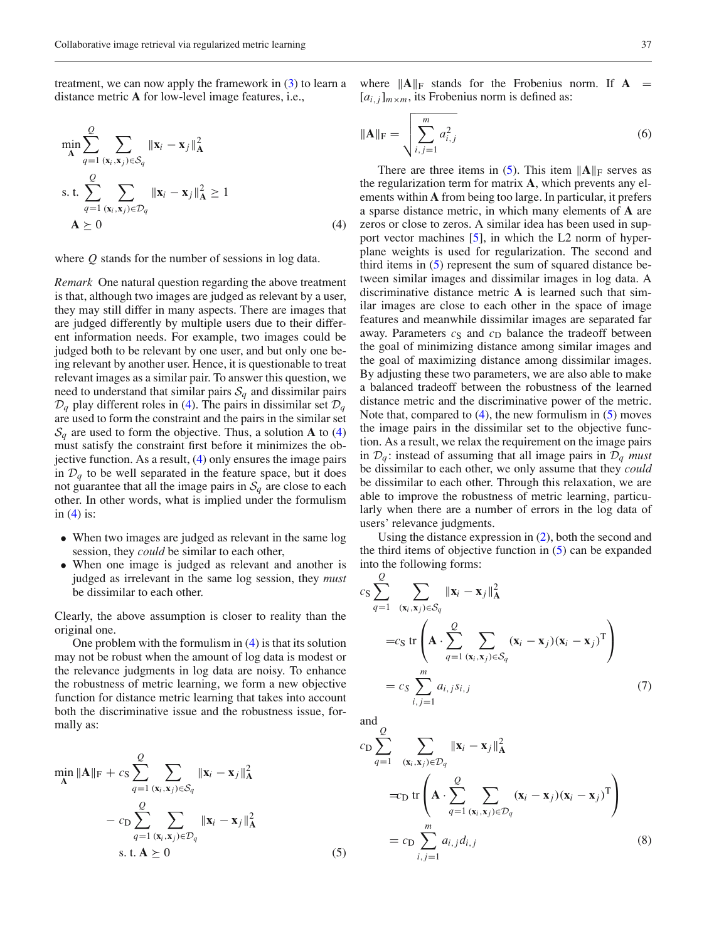treatment, we can now apply the framework in  $(3)$  to learn a distance metric **A** for low-level image features, i.e.,

$$
\min_{\mathbf{A}} \sum_{q=1}^{Q} \sum_{(\mathbf{x}_i, \mathbf{x}_j) \in \mathcal{S}_q} ||\mathbf{x}_i - \mathbf{x}_j||_{\mathbf{A}}^2
$$
  
s. t. 
$$
\sum_{q=1}^{Q} \sum_{(\mathbf{x}_i, \mathbf{x}_j) \in \mathcal{D}_q} ||\mathbf{x}_i - \mathbf{x}_j||_{\mathbf{A}}^2 \ge 1
$$
  

$$
\mathbf{A} \succeq 0
$$
 (4)

where *Q* stands for the number of sessions in log data.

*Remark* One natural question regarding the above treatment is that, although two images are judged as relevant by a user, they may still differ in many aspects. There are images that are judged differently by multiple users due to their different information needs. For example, two images could be judged both to be relevant by one user, and but only one being relevant by another user. Hence, it is questionable to treat relevant images as a similar pair. To answer this question, we need to understand that similar pairs  $S_q$  and dissimilar pairs  $\mathcal{D}_q$  play different roles in [\(4\)](#page-2-0). The pairs in dissimilar set  $\mathcal{D}_q$ are used to form the constraint and the pairs in the similar set  $S_q$  are used to form the objective. Thus, a solution **A** to [\(4\)](#page-2-0) must satisfy the constraint first before it minimizes the objective function. As a result, [\(4\)](#page-2-0) only ensures the image pairs in  $\mathcal{D}_q$  to be well separated in the feature space, but it does not guarantee that all the image pairs in  $S_q$  are close to each other. In other words, what is implied under the formulism in  $(4)$  is:

- When two images are judged as relevant in the same log session, they *could* be similar to each other,
- When one image is judged as relevant and another is judged as irrelevant in the same log session, they *must* be dissimilar to each other.

Clearly, the above assumption is closer to reality than the original one.

One problem with the formulism in  $(4)$  is that its solution may not be robust when the amount of log data is modest or the relevance judgments in log data are noisy. To enhance the robustness of metric learning, we form a new objective function for distance metric learning that takes into account both the discriminative issue and the robustness issue, formally as:

$$
\min_{\mathbf{A}} \|\mathbf{A}\|_{\mathbf{F}} + c_{\mathbf{S}} \sum_{q=1}^{Q} \sum_{(\mathbf{x}_i, \mathbf{x}_j) \in \mathcal{S}_q} \|\mathbf{x}_i - \mathbf{x}_j\|_{\mathbf{A}}^2
$$

$$
- c_{\mathbf{D}} \sum_{q=1}^{Q} \sum_{(\mathbf{x}_i, \mathbf{x}_j) \in \mathcal{D}_q} \|\mathbf{x}_i - \mathbf{x}_j\|_{\mathbf{A}}^2
$$
s. t.  $\mathbf{A} \succeq 0$  (5)

where  $||A||_F$  stands for the Frobenius norm. If  $A =$  $[a_{i,j}]_{m \times m}$ , its Frobenius norm is defined as:

<span id="page-3-0"></span>
$$
\|\mathbf{A}\|_{\mathrm{F}} = \sqrt{\sum_{i,j=1}^{m} a_{i,j}^{2}}
$$
 (6)

There are three items in [\(5\)](#page-2-0). This item  $||A||_F$  serves as the regularization term for matrix **A**, which prevents any elements within **A** from being too large. In particular, it prefers a sparse distance metric, in which many elements of **A** are zeros or close to zeros. A similar idea has been used in support vector machines [\[5\]](#page-10-16), in which the L2 norm of hyperplane weights is used for regularization. The second and third items in [\(5\)](#page-2-0) represent the sum of squared distance between similar images and dissimilar images in log data. A discriminative distance metric **A** is learned such that similar images are close to each other in the space of image features and meanwhile dissimilar images are separated far away. Parameters  $c_S$  and  $c_D$  balance the tradeoff between the goal of minimizing distance among similar images and the goal of maximizing distance among dissimilar images. By adjusting these two parameters, we are also able to make a balanced tradeoff between the robustness of the learned distance metric and the discriminative power of the metric. Note that, compared to  $(4)$ , the new formulism in  $(5)$  moves the image pairs in the dissimilar set to the objective function. As a result, we relax the requirement on the image pairs in  $\mathcal{D}_q$ : instead of assuming that all image pairs in  $\mathcal{D}_q$  *must* be dissimilar to each other, we only assume that they *could* be dissimilar to each other. Through this relaxation, we are able to improve the robustness of metric learning, particularly when there are a number of errors in the log data of users' relevance judgments.

Using the distance expression in [\(2\)](#page-1-0), both the second and the third items of objective function in  $(5)$  can be expanded into the following forms:

$$
c_{S} \sum_{q=1}^{\infty} \sum_{(\mathbf{x}_{i}, \mathbf{x}_{j}) \in \mathcal{S}_{q}} ||\mathbf{x}_{i} - \mathbf{x}_{j}||_{\mathbf{A}}^{2}
$$
  
\n
$$
= c_{S} \operatorname{tr} \left( \mathbf{A} \cdot \sum_{q=1}^{Q} \sum_{(\mathbf{x}_{i}, \mathbf{x}_{j}) \in \mathcal{S}_{q}} (\mathbf{x}_{i} - \mathbf{x}_{j})(\mathbf{x}_{i} - \mathbf{x}_{j})^{\mathrm{T}} \right)
$$
  
\n
$$
= c_{S} \sum_{i, j=1}^{m} a_{i, j} s_{i, j} \qquad (7)
$$

and

*Q*

$$
c_{\text{D}} \sum_{q=1}^{Q} \sum_{(\mathbf{x}_i, \mathbf{x}_j) \in \mathcal{D}_q} ||\mathbf{x}_i - \mathbf{x}_j||_{\mathbf{A}}^2
$$
  
\n
$$
= c_{\text{D}} \operatorname{tr} \left( \mathbf{A} \cdot \sum_{q=1}^{Q} \sum_{(\mathbf{x}_i, \mathbf{x}_j) \in \mathcal{D}_q} (\mathbf{x}_i - \mathbf{x}_j) (\mathbf{x}_i - \mathbf{x}_j)^{\text{T}} \right)
$$
  
\n
$$
= c_{\text{D}} \sum_{i,j=1}^{m} a_{i,j} d_{i,j} \qquad (8)
$$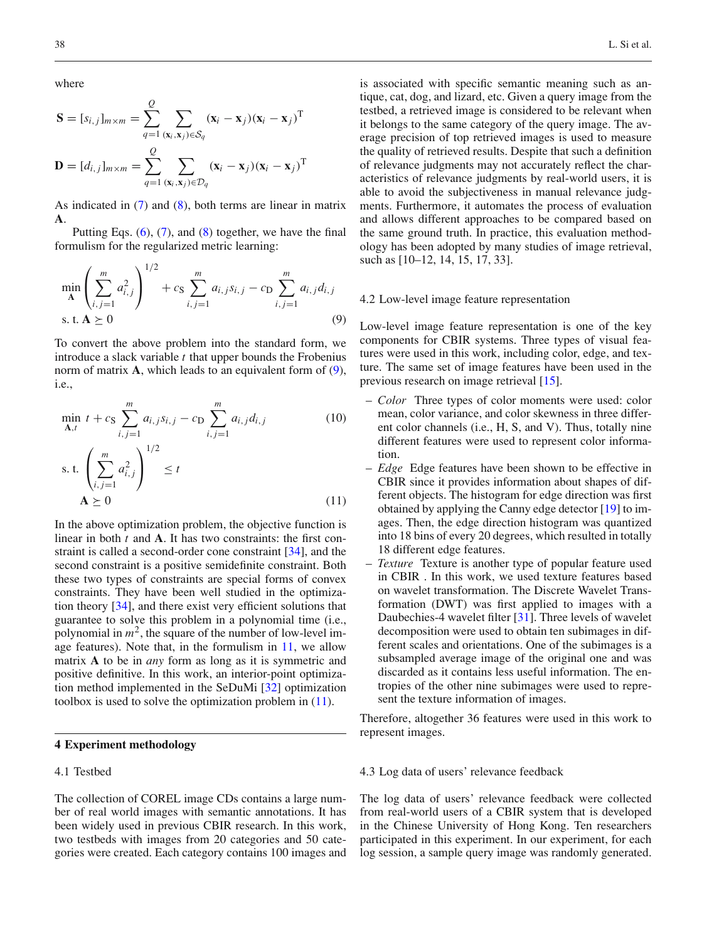where

$$
\mathbf{S} = [s_{i,j}]_{m \times m} = \sum_{q=1}^{Q} \sum_{(\mathbf{x}_i, \mathbf{x}_j) \in \mathcal{S}_q} (\mathbf{x}_i - \mathbf{x}_j) (\mathbf{x}_i - \mathbf{x}_j)^{\mathrm{T}}
$$

$$
\mathbf{D} = [d_{i,j}]_{m \times m} = \sum_{q=1}^{Q} \sum_{(\mathbf{x}_i, \mathbf{x}_j) \in \mathcal{D}_q} (\mathbf{x}_i - \mathbf{x}_j) (\mathbf{x}_i - \mathbf{x}_j)^{\mathrm{T}}
$$

As indicated in  $(7)$  and  $(8)$ , both terms are linear in matrix **A**.

Putting Eqs.  $(6)$ ,  $(7)$ , and  $(8)$  together, we have the final formulism for the regularized metric learning:

$$
\min_{\mathbf{A}} \left( \sum_{i,j=1}^{m} a_{i,j}^2 \right)^{1/2} + c_{\mathbf{S}} \sum_{i,j=1}^{m} a_{i,j} s_{i,j} - c_{\mathbf{D}} \sum_{i,j=1}^{m} a_{i,j} d_{i,j}
$$
\ns. t.  $\mathbf{A} \succeq 0$  (9)

To convert the above problem into the standard form, we introduce a slack variable *t* that upper bounds the Frobenius norm of matrix  $\bf{A}$ , which leads to an equivalent form of  $(9)$ , i.e.,

$$
\min_{\mathbf{A},t} t + c_{\mathbf{S}} \sum_{i,j=1}^{m} a_{i,j} s_{i,j} - c_{\mathbf{D}} \sum_{i,j=1}^{m} a_{i,j} d_{i,j}
$$
\n
$$
\text{s.t.} \left( \sum_{i,j=1}^{m} a_{i,j}^{2} \right)^{1/2} \leq t
$$
\n
$$
\mathbf{A} \geq 0 \tag{11}
$$

In the above optimization problem, the objective function is linear in both *t* and **A**. It has two constraints: the first constraint is called a second-order cone constraint [\[34\]](#page-10-14), and the second constraint is a positive semidefinite constraint. Both these two types of constraints are special forms of convex constraints. They have been well studied in the optimization theory [\[34\]](#page-10-14), and there exist very efficient solutions that guarantee to solve this problem in a polynomial time (i.e., polynomial in  $m^2$ , the square of the number of low-level image features). Note that, in the formulism in [11,](#page-3-0) we allow matrix **A** to be in *any* form as long as it is symmetric and positive definitive. In this work, an interior-point optimization method implemented in the SeDuMi [\[32](#page-10-15)] optimization toolbox is used to solve the optimization problem in [\(11\)](#page-3-0).

#### **4 Experiment methodology**

## 4.1 Testbed

The collection of COREL image CDs contains a large number of real world images with semantic annotations. It has been widely used in previous CBIR research. In this work, two testbeds with images from 20 categories and 50 categories were created. Each category contains 100 images and is associated with specific semantic meaning such as antique, cat, dog, and lizard, etc. Given a query image from the testbed, a retrieved image is considered to be relevant when it belongs to the same category of the query image. The average precision of top retrieved images is used to measure the quality of retrieved results. Despite that such a definition of relevance judgments may not accurately reflect the characteristics of relevance judgments by real-world users, it is able to avoid the subjectiveness in manual relevance judgments. Furthermore, it automates the process of evaluation and allows different approaches to be compared based on the same ground truth. In practice, this evaluation methodology has been adopted by many studies of image retrieval, such as [10–12, 14, 15, 17, 33].

#### 4.2 Low-level image feature representation

Low-level image feature representation is one of the key components for CBIR systems. Three types of visual features were used in this work, including color, edge, and texture. The same set of image features have been used in the previous research on image retrieval [\[15\]](#page-10-8).

- *Color* Three types of color moments were used: color mean, color variance, and color skewness in three different color channels (i.e., H, S, and V). Thus, totally nine different features were used to represent color information.
- *Edge* Edge features have been shown to be effective in CBIR since it provides information about shapes of different objects. The histogram for edge direction was first obtained by applying the Canny edge detector [\[19](#page-10-22)] to images. Then, the edge direction histogram was quantized into 18 bins of every 20 degrees, which resulted in totally 18 different edge features.
- *Texture* Texture is another type of popular feature used in CBIR . In this work, we used texture features based on wavelet transformation. The Discrete Wavelet Transformation (DWT) was first applied to images with a Daubechies-4 wavelet filter [\[31\]](#page-10-23). Three levels of wavelet decomposition were used to obtain ten subimages in different scales and orientations. One of the subimages is a subsampled average image of the original one and was discarded as it contains less useful information. The entropies of the other nine subimages were used to represent the texture information of images.

Therefore, altogether 36 features were used in this work to represent images.

## <span id="page-4-0"></span>4.3 Log data of users' relevance feedback

The log data of users' relevance feedback were collected from real-world users of a CBIR system that is developed in the Chinese University of Hong Kong. Ten researchers participated in this experiment. In our experiment, for each log session, a sample query image was randomly generated.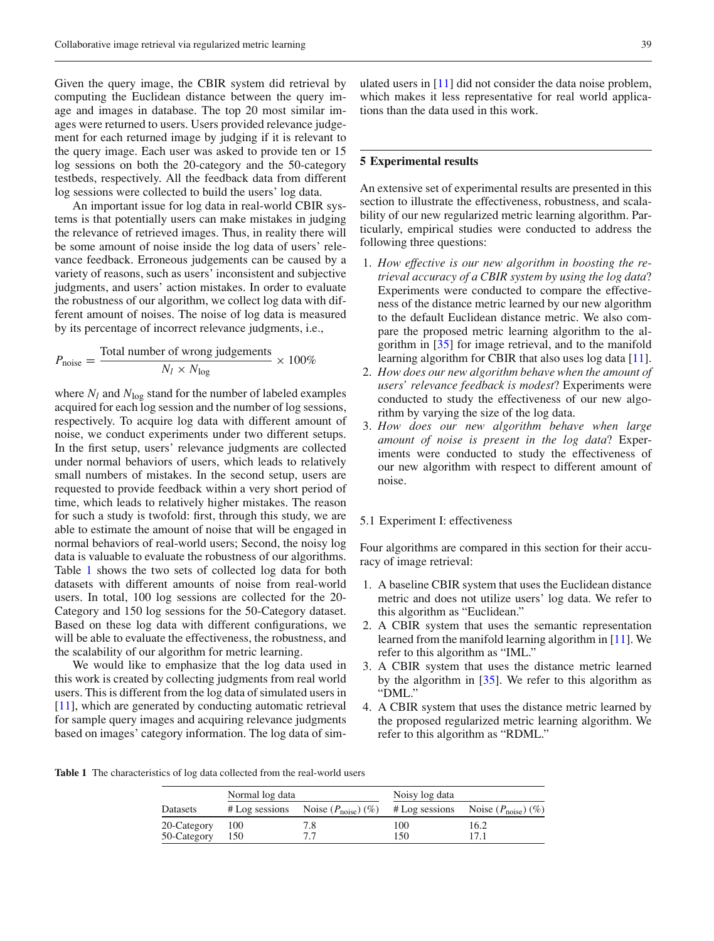Given the query image, the CBIR system did retrieval by computing the Euclidean distance between the query image and images in database. The top 20 most similar images were returned to users. Users provided relevance judgement for each returned image by judging if it is relevant to the query image. Each user was asked to provide ten or 15 log sessions on both the 20-category and the 50-category testbeds, respectively. All the feedback data from different log sessions were collected to build the users' log data.

An important issue for log data in real-world CBIR systems is that potentially users can make mistakes in judging the relevance of retrieved images. Thus, in reality there will be some amount of noise inside the log data of users' relevance feedback. Erroneous judgements can be caused by a variety of reasons, such as users' inconsistent and subjective judgments, and users' action mistakes. In order to evaluate the robustness of our algorithm, we collect log data with different amount of noises. The noise of log data is measured by its percentage of incorrect relevance judgments, i.e.,

$$
P_{\text{noise}} = \frac{\text{Total number of wrong judgments}}{N_l \times N_{\text{log}}} \times 100\%
$$

where  $N_l$  and  $N_{\text{log}}$  stand for the number of labeled examples acquired for each log session and the number of log sessions, respectively. To acquire log data with different amount of noise, we conduct experiments under two different setups. In the first setup, users' relevance judgments are collected under normal behaviors of users, which leads to relatively small numbers of mistakes. In the second setup, users are requested to provide feedback within a very short period of time, which leads to relatively higher mistakes. The reason for such a study is twofold: first, through this study, we are able to estimate the amount of noise that will be engaged in normal behaviors of real-world users; Second, the noisy log data is valuable to evaluate the robustness of our algorithms. Table [1](#page-5-0) shows the two sets of collected log data for both datasets with different amounts of noise from real-world users. In total, 100 log sessions are collected for the 20- Category and 150 log sessions for the 50-Category dataset. Based on these log data with different configurations, we will be able to evaluate the effectiveness, the robustness, and the scalability of our algorithm for metric learning.

We would like to emphasize that the log data used in this work is created by collecting judgments from real world users. This is different from the log data of simulated users in [\[11](#page-10-13)], which are generated by conducting automatic retrieval for sample query images and acquiring relevance judgments based on images' category information. The log data of simulated users in [\[11](#page-10-13)] did not consider the data noise problem, which makes it less representative for real world applications than the data used in this work.

## **5 Experimental results**

An extensive set of experimental results are presented in this section to illustrate the effectiveness, robustness, and scalability of our new regularized metric learning algorithm. Particularly, empirical studies were conducted to address the following three questions:

- 1. *How effective is our new algorithm in boosting the retrieval accuracy of a CBIR system by using the log data*? Experiments were conducted to compare the effectiveness of the distance metric learned by our new algorithm to the default Euclidean distance metric. We also compare the proposed metric learning algorithm to the algorithm in [\[35\]](#page-10-20) for image retrieval, and to the manifold learning algorithm for CBIR that also uses log data [\[11\]](#page-10-13).
- 2. *How does our new algorithm behave when the amount of users' relevance feedback is modest*? Experiments were conducted to study the effectiveness of our new algorithm by varying the size of the log data.
- 3. *How does our new algorithm behave when large amount of noise is present in the log data*? Experiments were conducted to study the effectiveness of our new algorithm with respect to different amount of noise.

## 5.1 Experiment I: effectiveness

Four algorithms are compared in this section for their accuracy of image retrieval:

- 1. A baseline CBIR system that uses the Euclidean distance metric and does not utilize users' log data. We refer to this algorithm as "Euclidean."
- 2. A CBIR system that uses the semantic representation learned from the manifold learning algorithm in [\[11](#page-10-13)]. We refer to this algorithm as "IML."
- 3. A CBIR system that uses the distance metric learned by the algorithm in [\[35](#page-10-20)]. We refer to this algorithm as "DML."
- 4. A CBIR system that uses the distance metric learned by the proposed regularized metric learning algorithm. We refer to this algorithm as "RDML."

<span id="page-5-0"></span>**Table 1** The characteristics of log data collected from the real-world users

|             | Normal log data |                                        | Noisy log data |                            |  |
|-------------|-----------------|----------------------------------------|----------------|----------------------------|--|
| Datasets    |                 | # Log sessions Noise $(P_{noise})$ (%) | # Log sessions | Noise $(P_{noise})$ $(\%)$ |  |
| 20-Category | 100             | 7.8                                    | 100            | 16.2                       |  |
| 50-Category | 150             |                                        | 150            | 17.1                       |  |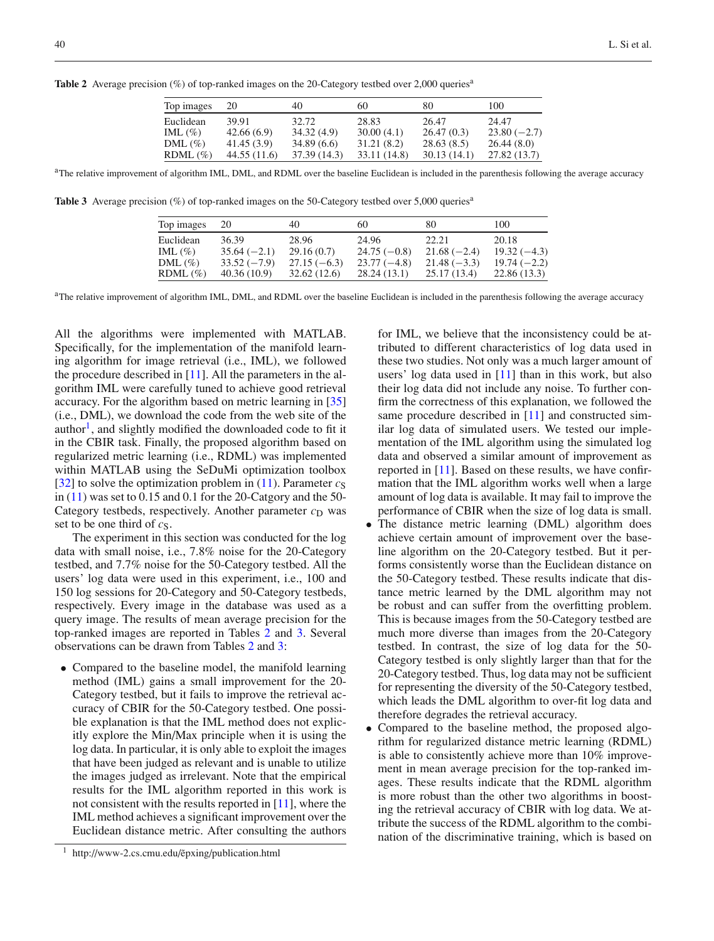| Top images  | 20          | 40          | 60           | 80          | 100           |
|-------------|-------------|-------------|--------------|-------------|---------------|
| Euclidean   | 39.91       | 32.72       | 28.83        | 26.47       | 24.47         |
| IML $(\% )$ | 42.66(6.9)  | 34.32(4.9)  | 30.00(4.1)   | 26.47(0.3)  | $23.80(-2.7)$ |
| DML $(\%)$  | 41.45(3.9)  | 34.89(6.6)  | 31.21(8.2)   | 28.63(8.5)  | 26.44(8.0)    |
| $RDML(\%)$  | 44.55(11.6) | 37.39(14.3) | 33.11 (14.8) | 30.13(14.1) | 27.82(13.7)   |

<span id="page-6-1"></span>**Table 2** Average precision (%) of top-ranked images on the 20-Category testbed over 2,000 queries<sup>a</sup>

<sup>a</sup>The relative improvement of algorithm IML, DML, and RDML over the baseline Euclidean is included in the parenthesis following the average accuracy

<span id="page-6-2"></span>**Table 3** Average precision (%) of top-ranked images on the 50-Category testbed over 5,000 queries<sup>a</sup>

| Top images  | 20            | 40            | 60.           | 80            | 100           |
|-------------|---------------|---------------|---------------|---------------|---------------|
| Euclidean   | 36.39         | 28.96         | 24.96         | 22.21         | 20.18         |
| IML $(\% )$ | $35.64(-2.1)$ | 29.16(0.7)    | $24.75(-0.8)$ | $21.68(-2.4)$ | $19.32(-4.3)$ |
| DML $(\%)$  | $33.52(-7.9)$ | $27.15(-6.3)$ | $23.77(-4.8)$ | $21.48(-3.3)$ | $19.74(-2.2)$ |
| RDML $(\%)$ | 40.36(10.9)   | 32.62(12.6)   | 28.24(13.1)   | 25.17(13.4)   | 22.86(13.3)   |

<sup>a</sup>The relative improvement of algorithm IML, DML, and RDML over the baseline Euclidean is included in the parenthesis following the average accuracy

All the algorithms were implemented with MATLAB. Specifically, for the implementation of the manifold learning algorithm for image retrieval (i.e., IML), we followed the procedure described in [\[11](#page-10-13)]. All the parameters in the algorithm IML were carefully tuned to achieve good retrieval accuracy. For the algorithm based on metric learning in [\[35\]](#page-10-20) (i.e., DML), we download the code from the web site of the author<sup>1</sup>, and slightly modified the downloaded code to fit it in the CBIR task. Finally, the proposed algorithm based on regularized metric learning (i.e., RDML) was implemented within MATLAB using the SeDuMi optimization toolbox [\[32](#page-10-15)] to solve the optimization problem in  $(11)$ . Parameter  $c_S$ in  $(11)$  was set to 0.15 and 0.1 for the 20-Catgory and the 50-Category testbeds, respectively. Another parameter  $c_D$  was set to be one third of *c*<sub>S</sub>.

The experiment in this section was conducted for the log data with small noise, i.e., 7.8% noise for the 20-Category testbed, and 7.7% noise for the 50-Category testbed. All the users' log data were used in this experiment, i.e., 100 and 150 log sessions for 20-Category and 50-Category testbeds, respectively. Every image in the database was used as a query image. The results of mean average precision for the top-ranked images are reported in Tables [2](#page-6-1) and [3.](#page-6-2) Several observations can be drawn from Tables [2](#page-6-1) and [3:](#page-6-2)

• Compared to the baseline model, the manifold learning method (IML) gains a small improvement for the 20- Category testbed, but it fails to improve the retrieval accuracy of CBIR for the 50-Category testbed. One possible explanation is that the IML method does not explicitly explore the Min/Max principle when it is using the log data. In particular, it is only able to exploit the images that have been judged as relevant and is unable to utilize the images judged as irrelevant. Note that the empirical results for the IML algorithm reported in this work is not consistent with the results reported in [\[11\]](#page-10-13), where the IML method achieves a significant improvement over the Euclidean distance metric. After consulting the authors for IML, we believe that the inconsistency could be attributed to different characteristics of log data used in these two studies. Not only was a much larger amount of users' log data used in [\[11\]](#page-10-13) than in this work, but also their log data did not include any noise. To further confirm the correctness of this explanation, we followed the same procedure described in [\[11\]](#page-10-13) and constructed similar log data of simulated users. We tested our implementation of the IML algorithm using the simulated log data and observed a similar amount of improvement as reported in [\[11](#page-10-13)]. Based on these results, we have confirmation that the IML algorithm works well when a large amount of log data is available. It may fail to improve the performance of CBIR when the size of log data is small.

- The distance metric learning (DML) algorithm does achieve certain amount of improvement over the baseline algorithm on the 20-Category testbed. But it performs consistently worse than the Euclidean distance on the 50-Category testbed. These results indicate that distance metric learned by the DML algorithm may not be robust and can suffer from the overfitting problem. This is because images from the 50-Category testbed are much more diverse than images from the 20-Category testbed. In contrast, the size of log data for the 50- Category testbed is only slightly larger than that for the 20-Category testbed. Thus, log data may not be sufficient for representing the diversity of the 50-Category testbed, which leads the DML algorithm to over-fit log data and therefore degrades the retrieval accuracy.
- Compared to the baseline method, the proposed algorithm for regularized distance metric learning (RDML) is able to consistently achieve more than 10% improvement in mean average precision for the top-ranked images. These results indicate that the RDML algorithm is more robust than the other two algorithms in boosting the retrieval accuracy of CBIR with log data. We attribute the success of the RDML algorithm to the combination of the discriminative training, which is based on

<span id="page-6-0"></span>http://www-2.cs.cmu.edu/ẽpxing/publication.html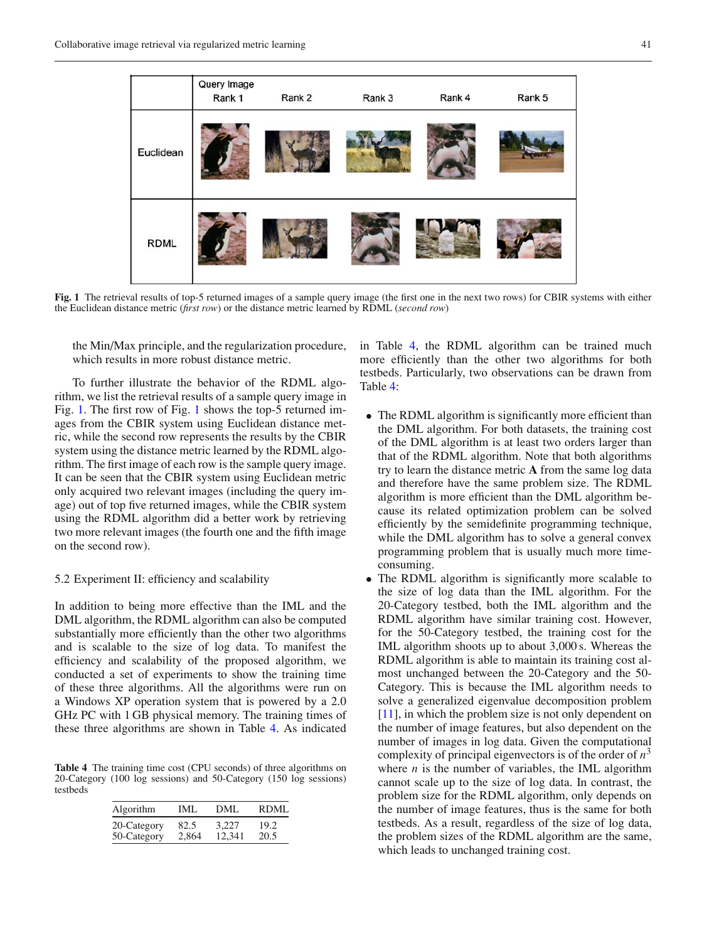

<span id="page-7-0"></span>**Fig. 1** The retrieval results of top-5 returned images of a sample query image (the first one in the next two rows) for CBIR systems with either the Euclidean distance metric (*first row*) or the distance metric learned by RDML (*second row*)

the Min/Max principle, and the regularization procedure, which results in more robust distance metric.

To further illustrate the behavior of the RDML algorithm, we list the retrieval results of a sample query image in Fig. [1.](#page-7-0) The first row of Fig. [1](#page-7-0) shows the top-5 returned images from the CBIR system using Euclidean distance metric, while the second row represents the results by the CBIR system using the distance metric learned by the RDML algorithm. The first image of each row is the sample query image. It can be seen that the CBIR system using Euclidean metric only acquired two relevant images (including the query image) out of top five returned images, while the CBIR system using the RDML algorithm did a better work by retrieving two more relevant images (the fourth one and the fifth image on the second row).

#### 5.2 Experiment II: efficiency and scalability

In addition to being more effective than the IML and the DML algorithm, the RDML algorithm can also be computed substantially more efficiently than the other two algorithms and is scalable to the size of log data. To manifest the efficiency and scalability of the proposed algorithm, we conducted a set of experiments to show the training time of these three algorithms. All the algorithms were run on a Windows XP operation system that is powered by a 2.0 GHz PC with 1 GB physical memory. The training times of these three algorithms are shown in Table [4.](#page-7-1) As indicated

<span id="page-7-1"></span>**Table 4** The training time cost (CPU seconds) of three algorithms on 20-Category (100 log sessions) and 50-Category (150 log sessions) testbeds

| Algorithm   | IMI.  | DML.   | RDML |
|-------------|-------|--------|------|
| 20-Category | 82.5  | 3.227  | 19.2 |
| 50-Category | 2.864 | 12.341 | 20.5 |

in Table [4,](#page-7-1) the RDML algorithm can be trained much more efficiently than the other two algorithms for both testbeds. Particularly, two observations can be drawn from Table [4:](#page-7-1)

- The RDML algorithm is significantly more efficient than the DML algorithm. For both datasets, the training cost of the DML algorithm is at least two orders larger than that of the RDML algorithm. Note that both algorithms try to learn the distance metric **A** from the same log data and therefore have the same problem size. The RDML algorithm is more efficient than the DML algorithm because its related optimization problem can be solved efficiently by the semidefinite programming technique, while the DML algorithm has to solve a general convex programming problem that is usually much more timeconsuming.
- The RDML algorithm is significantly more scalable to the size of log data than the IML algorithm. For the 20-Category testbed, both the IML algorithm and the RDML algorithm have similar training cost. However, for the 50-Category testbed, the training cost for the IML algorithm shoots up to about 3,000 s. Whereas the RDML algorithm is able to maintain its training cost almost unchanged between the 20-Category and the 50- Category. This is because the IML algorithm needs to solve a generalized eigenvalue decomposition problem [\[11\]](#page-10-13), in which the problem size is not only dependent on the number of image features, but also dependent on the number of images in log data. Given the computational complexity of principal eigenvectors is of the order of  $n<sup>3</sup>$ where  $n$  is the number of variables, the IML algorithm cannot scale up to the size of log data. In contrast, the problem size for the RDML algorithm, only depends on the number of image features, thus is the same for both testbeds. As a result, regardless of the size of log data, the problem sizes of the RDML algorithm are the same, which leads to unchanged training cost.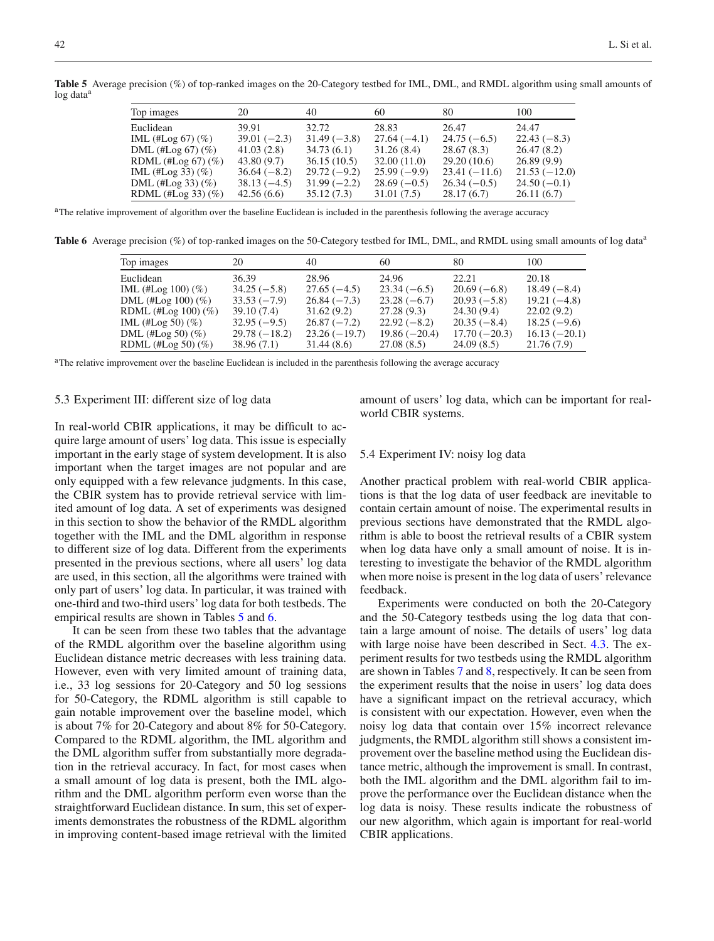| Top images              | 20            | 40            | 60            | 80             | 100            |
|-------------------------|---------------|---------------|---------------|----------------|----------------|
| Euclidean               | 39.91         | 32.72         | 28.83         | 26.47          | 24.47          |
| IML $(\#Log 67)$ $(\%)$ | $39.01(-2.3)$ | $31.49(-3.8)$ | $27.64(-4.1)$ | $24.75(-6.5)$  | $22.43(-8.3)$  |
| DML $(\#Log 67) (\%)$   | 41.03(2.8)    | 34.73(6.1)    | 31.26(8.4)    | 28.67(8.3)     | 26.47(8.2)     |
| RDML $(\#Log 67) (\%)$  | 43.80(9.7)    | 36.15(10.5)   | 32.00(11.0)   | 29.20(10.6)    | 26.89(9.9)     |
| IML $(\#Log 33)$ $(\%)$ | $36.64(-8.2)$ | $29.72(-9.2)$ | $25.99(-9.9)$ | $23.41(-11.6)$ | $21.53(-12.0)$ |
| DML $(\#Log 33)$ $(\%)$ | $38.13(-4.5)$ | $31.99(-2.2)$ | $28.69(-0.5)$ | $26.34(-0.5)$  | $24.50(-0.1)$  |
| RDML $(\#Log 33)(\%)$   | 42.56(6.6)    | 35.12(7.3)    | 31.01 (7.5)   | 28.17 (6.7)    | 26.11(6.7)     |

<span id="page-8-0"></span>**Table 5** Average precision (%) of top-ranked images on the 20-Category testbed for IML, DML, and RMDL algorithm using small amounts of log data<sup>a</sup>

<sup>a</sup>The relative improvement of algorithm over the baseline Euclidean is included in the parenthesis following the average accuracy

<span id="page-8-1"></span>Table 6 Average precision (%) of top-ranked images on the 50-Category testbed for IML, DML, and RMDL using small amounts of log data<sup>a</sup>

| Top images              | 20             | 40             | 60             | 80             | 100            |
|-------------------------|----------------|----------------|----------------|----------------|----------------|
| Euclidean               | 36.39          | 28.96          | 24.96          | 22.21          | 20.18          |
| IML $(\#Log 100)(\%)$   | $34.25(-5.8)$  | $27.65(-4.5)$  | $23.34(-6.5)$  | $20.69(-6.8)$  | $18.49(-8.4)$  |
| DML (#Log 100) $(\%)$   | $33.53(-7.9)$  | $26.84(-7.3)$  | $23.28(-6.7)$  | $20.93(-5.8)$  | $19.21(-4.8)$  |
| RDML $(\#Log 100)(\%)$  | 39.10 (7.4)    | 31.62(9.2)     | 27.28(9.3)     | 24.30(9.4)     | 22.02(9.2)     |
| IML $(\#Log 50)$ $(\%)$ | $32.95(-9.5)$  | $26.87(-7.2)$  | $22.92(-8.2)$  | $20.35(-8.4)$  | $18.25(-9.6)$  |
| DML $(\#Log 50)(\%)$    | $29.78(-18.2)$ | $23.26(-19.7)$ | $19.86(-20.4)$ | $17.70(-20.3)$ | $16.13(-20.1)$ |
| RDML $(\#Log 50) (\%)$  | 38.96 (7.1)    | 31.44(8.6)     | 27.08(8.5)     | 24.09(8.5)     | 21.76(7.9)     |

<sup>a</sup>The relative improvement over the baseline Euclidean is included in the parenthesis following the average accuracy

## 5.3 Experiment III: different size of log data

In real-world CBIR applications, it may be difficult to acquire large amount of users' log data. This issue is especially important in the early stage of system development. It is also important when the target images are not popular and are only equipped with a few relevance judgments. In this case, the CBIR system has to provide retrieval service with limited amount of log data. A set of experiments was designed in this section to show the behavior of the RMDL algorithm together with the IML and the DML algorithm in response to different size of log data. Different from the experiments presented in the previous sections, where all users' log data are used, in this section, all the algorithms were trained with only part of users' log data. In particular, it was trained with one-third and two-third users' log data for both testbeds. The empirical results are shown in Tables [5](#page-8-0) and [6.](#page-8-1)

It can be seen from these two tables that the advantage of the RMDL algorithm over the baseline algorithm using Euclidean distance metric decreases with less training data. However, even with very limited amount of training data, i.e., 33 log sessions for 20-Category and 50 log sessions for 50-Category, the RDML algorithm is still capable to gain notable improvement over the baseline model, which is about 7% for 20-Category and about 8% for 50-Category. Compared to the RDML algorithm, the IML algorithm and the DML algorithm suffer from substantially more degradation in the retrieval accuracy. In fact, for most cases when a small amount of log data is present, both the IML algorithm and the DML algorithm perform even worse than the straightforward Euclidean distance. In sum, this set of experiments demonstrates the robustness of the RDML algorithm in improving content-based image retrieval with the limited amount of users' log data, which can be important for realworld CBIR systems.

## 5.4 Experiment IV: noisy log data

Another practical problem with real-world CBIR applications is that the log data of user feedback are inevitable to contain certain amount of noise. The experimental results in previous sections have demonstrated that the RMDL algorithm is able to boost the retrieval results of a CBIR system when log data have only a small amount of noise. It is interesting to investigate the behavior of the RMDL algorithm when more noise is present in the log data of users' relevance feedback.

Experiments were conducted on both the 20-Category and the 50-Category testbeds using the log data that contain a large amount of noise. The details of users' log data with large noise have been described in Sect. [4.3.](#page-4-0) The experiment results for two testbeds using the RMDL algorithm are shown in Tables [7](#page-9-0) and [8,](#page-9-1) respectively. It can be seen from the experiment results that the noise in users' log data does have a significant impact on the retrieval accuracy, which is consistent with our expectation. However, even when the noisy log data that contain over 15% incorrect relevance judgments, the RMDL algorithm still shows a consistent improvement over the baseline method using the Euclidean distance metric, although the improvement is small. In contrast, both the IML algorithm and the DML algorithm fail to improve the performance over the Euclidean distance when the log data is noisy. These results indicate the robustness of our new algorithm, which again is important for real-world CBIR applications.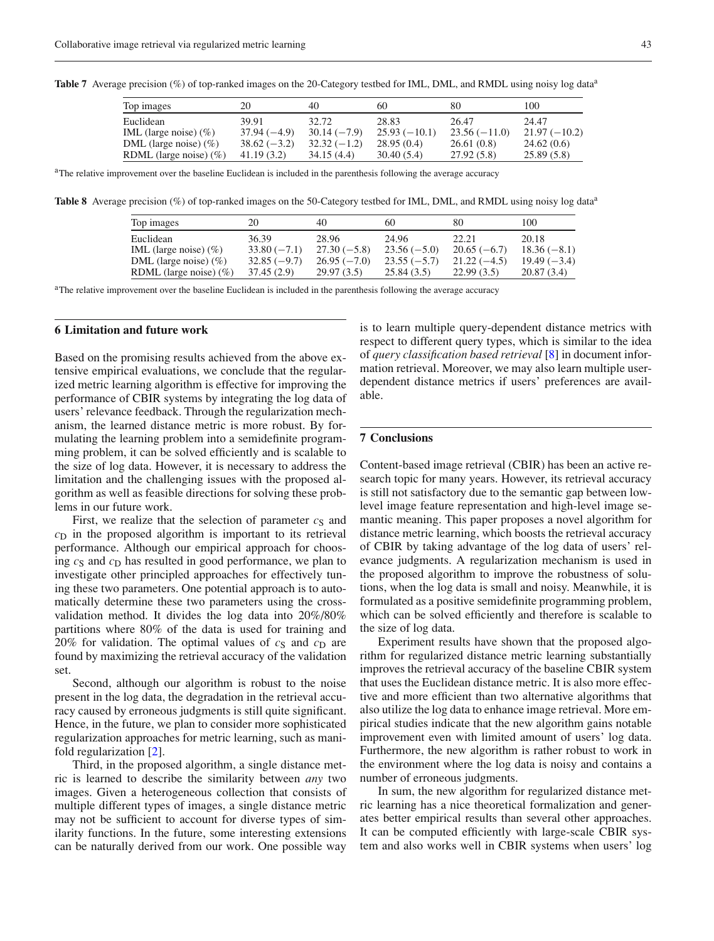<span id="page-9-0"></span>Table 7 Average precision (%) of top-ranked images on the 20-Category testbed for IML, DML, and RMDL using noisy log data<sup>a</sup>

| Top images                 | 20            | 40            | 60             | 80             | 100            |
|----------------------------|---------------|---------------|----------------|----------------|----------------|
| Euclidean                  | 39.91         | 32.72         | 28.83          | 26.47          | 24.47          |
| IML (large noise) $(\% )$  | $37.94(-4.9)$ | $30.14(-7.9)$ | $25.93(-10.1)$ | $23.56(-11.0)$ | $21.97(-10.2)$ |
| DML (large noise) $(\% )$  | $38.62(-3.2)$ | $32.32(-1.2)$ | 28.95(0.4)     | 26.61(0.8)     | 24.62(0.6)     |
| RDML (large noise) $(\% )$ | 41.19(3.2)    | 34.15(4.4)    | 30.40(5.4)     | 27.92(5.8)     | 25.89(5.8)     |

aThe relative improvement over the baseline Euclidean is included in the parenthesis following the average accuracy

<span id="page-9-1"></span>**Table 8** Average precision (%) of top-ranked images on the 50-Category testbed for IML, DML, and RMDL using noisy log data<sup>a</sup>

| Top images                 | 20            | 40            | 60            | 80            | 100           |
|----------------------------|---------------|---------------|---------------|---------------|---------------|
| Euclidean                  | 36.39         | 28.96         | 24.96         | 22.21         | 20.18         |
| IML (large noise) $(\% )$  | $33.80(-7.1)$ | $27.30(-5.8)$ | $23.56(-5.0)$ | $20.65(-6.7)$ | $18.36(-8.1)$ |
| DML (large noise) $(\%)$   | $32.85(-9.7)$ | $26.95(-7.0)$ | $23.55(-5.7)$ | $21.22(-4.5)$ | $19.49(-3.4)$ |
| RDML (large noise) $(\% )$ | 37.45(2.9)    | 29.97(3.5)    | 25.84(3.5)    | 22.99(3.5)    | 20.87(3.4)    |

aThe relative improvement over the baseline Euclidean is included in the parenthesis following the average accuracy

## **6 Limitation and future work**

Based on the promising results achieved from the above extensive empirical evaluations, we conclude that the regularized metric learning algorithm is effective for improving the performance of CBIR systems by integrating the log data of users' relevance feedback. Through the regularization mechanism, the learned distance metric is more robust. By formulating the learning problem into a semidefinite programming problem, it can be solved efficiently and is scalable to the size of log data. However, it is necessary to address the limitation and the challenging issues with the proposed algorithm as well as feasible directions for solving these problems in our future work.

First, we realize that the selection of parameter  $c_S$  and  $c<sub>D</sub>$  in the proposed algorithm is important to its retrieval performance. Although our empirical approach for choosing  $c_S$  and  $c_D$  has resulted in good performance, we plan to investigate other principled approaches for effectively tuning these two parameters. One potential approach is to automatically determine these two parameters using the crossvalidation method. It divides the log data into 20%/80% partitions where 80% of the data is used for training and 20% for validation. The optimal values of  $c_S$  and  $c_D$  are found by maximizing the retrieval accuracy of the validation set.

Second, although our algorithm is robust to the noise present in the log data, the degradation in the retrieval accuracy caused by erroneous judgments is still quite significant. Hence, in the future, we plan to consider more sophisticated regularization approaches for metric learning, such as manifold regularization [\[2\]](#page-10-24).

Third, in the proposed algorithm, a single distance metric is learned to describe the similarity between *any* two images. Given a heterogeneous collection that consists of multiple different types of images, a single distance metric may not be sufficient to account for diverse types of similarity functions. In the future, some interesting extensions can be naturally derived from our work. One possible way is to learn multiple query-dependent distance metrics with respect to different query types, which is similar to the idea of *query classification based retrieval* [\[8\]](#page-10-21) in document information retrieval. Moreover, we may also learn multiple userdependent distance metrics if users' preferences are available.

#### **7 Conclusions**

Content-based image retrieval (CBIR) has been an active research topic for many years. However, its retrieval accuracy is still not satisfactory due to the semantic gap between lowlevel image feature representation and high-level image semantic meaning. This paper proposes a novel algorithm for distance metric learning, which boosts the retrieval accuracy of CBIR by taking advantage of the log data of users' relevance judgments. A regularization mechanism is used in the proposed algorithm to improve the robustness of solutions, when the log data is small and noisy. Meanwhile, it is formulated as a positive semidefinite programming problem, which can be solved efficiently and therefore is scalable to the size of log data.

Experiment results have shown that the proposed algorithm for regularized distance metric learning substantially improves the retrieval accuracy of the baseline CBIR system that uses the Euclidean distance metric. It is also more effective and more efficient than two alternative algorithms that also utilize the log data to enhance image retrieval. More empirical studies indicate that the new algorithm gains notable improvement even with limited amount of users' log data. Furthermore, the new algorithm is rather robust to work in the environment where the log data is noisy and contains a number of erroneous judgments.

In sum, the new algorithm for regularized distance metric learning has a nice theoretical formalization and generates better empirical results than several other approaches. It can be computed efficiently with large-scale CBIR system and also works well in CBIR systems when users' log